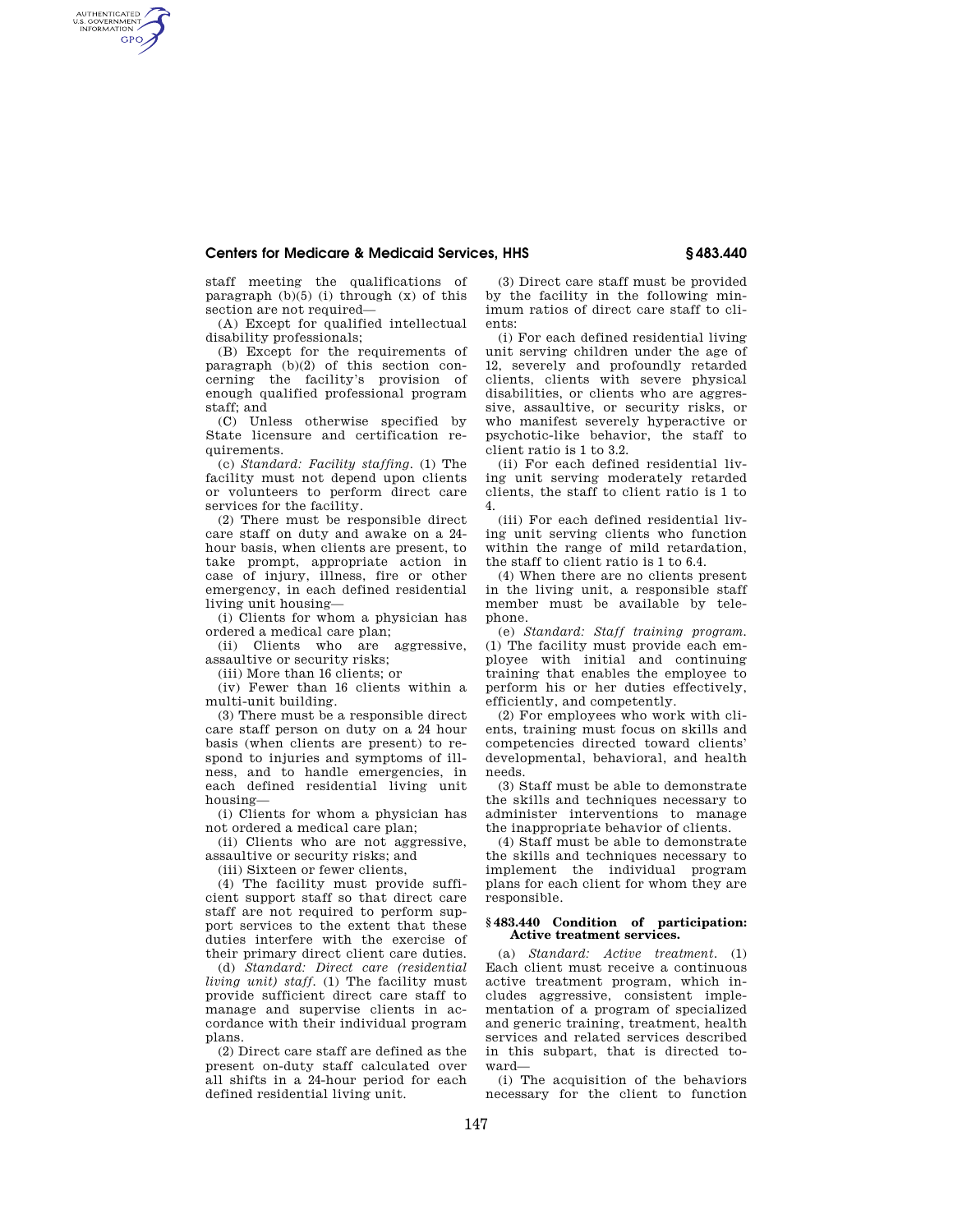## **Centers for Medicare & Medicaid Services, HHS § 483.440**

staff meeting the qualifications of paragraph  $(b)(5)$  (i) through  $(x)$  of this section are not required—

AUTHENTICATED<br>U.S. GOVERNMENT<br>INFORMATION **GPO** 

> (A) Except for qualified intellectual disability professionals;

(B) Except for the requirements of paragraph  $(b)(2)$  of this section concerning the facility's provision of enough qualified professional program staff<sup>c</sup> and

(C) Unless otherwise specified by State licensure and certification requirements.

(c) *Standard: Facility staffing.* (1) The facility must not depend upon clients or volunteers to perform direct care services for the facility.

(2) There must be responsible direct care staff on duty and awake on a 24 hour basis, when clients are present, to take prompt, appropriate action in case of injury, illness, fire or other emergency, in each defined residential living unit housing—

(i) Clients for whom a physician has ordered a medical care plan;

(ii) Clients who are aggressive, assaultive or security risks;

(iii) More than 16 clients; or

(iv) Fewer than 16 clients within a multi-unit building.

(3) There must be a responsible direct care staff person on duty on a 24 hour basis (when clients are present) to respond to injuries and symptoms of illness, and to handle emergencies, in each defined residential living unit housing—

(i) Clients for whom a physician has not ordered a medical care plan;

(ii) Clients who are not aggressive, assaultive or security risks; and

(iii) Sixteen or fewer clients,

(4) The facility must provide sufficient support staff so that direct care staff are not required to perform support services to the extent that these duties interfere with the exercise of their primary direct client care duties.

(d) *Standard: Direct care (residential living unit) staff.* (1) The facility must provide sufficient direct care staff to manage and supervise clients in accordance with their individual program plans.

(2) Direct care staff are defined as the present on-duty staff calculated over all shifts in a 24-hour period for each defined residential living unit.

(3) Direct care staff must be provided by the facility in the following minimum ratios of direct care staff to clients:

(i) For each defined residential living unit serving children under the age of 12, severely and profoundly retarded clients, clients with severe physical disabilities, or clients who are aggressive, assaultive, or security risks, or who manifest severely hyperactive or psychotic-like behavior, the staff to client ratio is 1 to 3.2.

(ii) For each defined residential living unit serving moderately retarded clients, the staff to client ratio is 1 to 4.

(iii) For each defined residential living unit serving clients who function within the range of mild retardation, the staff to client ratio is 1 to 6.4.

(4) When there are no clients present in the living unit, a responsible staff member must be available by telephone.

(e) *Standard: Staff training program.*  (1) The facility must provide each employee with initial and continuing training that enables the employee to perform his or her duties effectively, efficiently, and competently.

(2) For employees who work with clients, training must focus on skills and competencies directed toward clients' developmental, behavioral, and health needs.

(3) Staff must be able to demonstrate the skills and techniques necessary to administer interventions to manage the inappropriate behavior of clients.

(4) Staff must be able to demonstrate the skills and techniques necessary to implement the individual program plans for each client for whom they are responsible.

### **§ 483.440 Condition of participation: Active treatment services.**

(a) *Standard: Active treatment.* (1) Each client must receive a continuous active treatment program, which includes aggressive, consistent implementation of a program of specialized and generic training, treatment, health services and related services described in this subpart, that is directed toward—

(i) The acquisition of the behaviors necessary for the client to function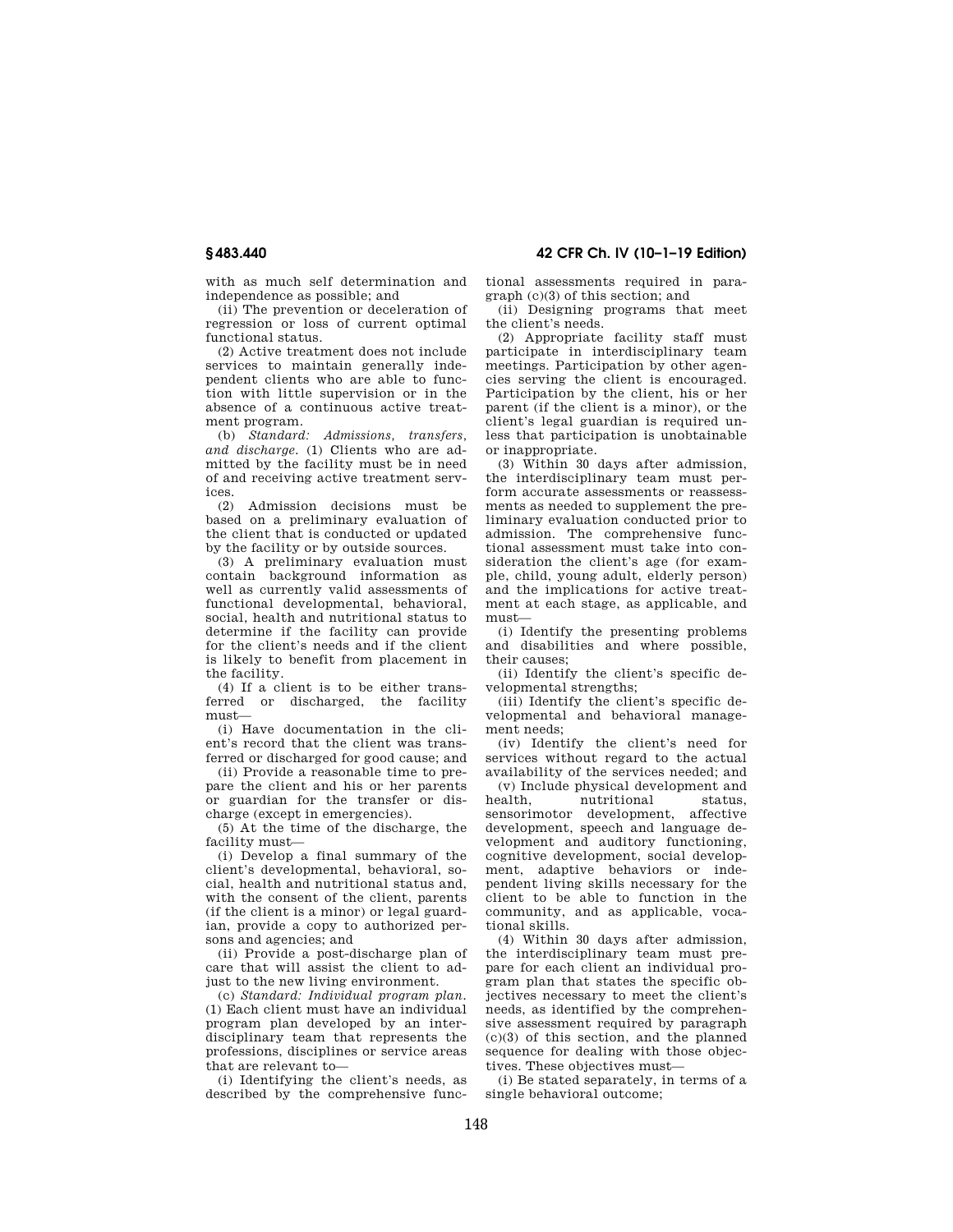**§ 483.440 42 CFR Ch. IV (10–1–19 Edition)** 

with as much self determination and independence as possible; and

(ii) The prevention or deceleration of regression or loss of current optimal functional status.

(2) Active treatment does not include services to maintain generally independent clients who are able to function with little supervision or in the absence of a continuous active treatment program.<br>(b) Standard:

 $Admissions, transfers,$ *and discharge.* (1) Clients who are admitted by the facility must be in need of and receiving active treatment services.

(2) Admission decisions must be based on a preliminary evaluation of the client that is conducted or updated by the facility or by outside sources.

(3) A preliminary evaluation must contain background information as well as currently valid assessments of functional developmental, behavioral, social, health and nutritional status to determine if the facility can provide for the client's needs and if the client is likely to benefit from placement in the facility.

(4) If a client is to be either transferred or discharged, the facility must—

(i) Have documentation in the client's record that the client was transferred or discharged for good cause; and

(ii) Provide a reasonable time to prepare the client and his or her parents or guardian for the transfer or discharge (except in emergencies).

(5) At the time of the discharge, the facility must—

(i) Develop a final summary of the client's developmental, behavioral, social, health and nutritional status and, with the consent of the client, parents (if the client is a minor) or legal guardian, provide a copy to authorized persons and agencies; and

(ii) Provide a post-discharge plan of care that will assist the client to adjust to the new living environment.

(c) *Standard: Individual program plan.*  (1) Each client must have an individual program plan developed by an interdisciplinary team that represents the professions, disciplines or service areas that are relevant to—

(i) Identifying the client's needs, as described by the comprehensive functional assessments required in paragraph (c)(3) of this section; and

(ii) Designing programs that meet the client's needs.

(2) Appropriate facility staff must participate in interdisciplinary team meetings. Participation by other agencies serving the client is encouraged. Participation by the client, his or her parent (if the client is a minor), or the client's legal guardian is required unless that participation is unobtainable or inappropriate.

(3) Within 30 days after admission, the interdisciplinary team must perform accurate assessments or reassessments as needed to supplement the preliminary evaluation conducted prior to admission. The comprehensive functional assessment must take into consideration the client's age (for example, child, young adult, elderly person) and the implications for active treatment at each stage, as applicable, and must—

(i) Identify the presenting problems and disabilities and where possible, their causes;

(ii) Identify the client's specific developmental strengths;

(iii) Identify the client's specific developmental and behavioral management needs;

(iv) Identify the client's need for services without regard to the actual availability of the services needed; and

(v) Include physical development and health, nutritional status, sensorimotor development, affective development, speech and language development and auditory functioning, cognitive development, social development, adaptive behaviors or independent living skills necessary for the client to be able to function in the community, and as applicable, vocational skills.

(4) Within 30 days after admission, the interdisciplinary team must prepare for each client an individual program plan that states the specific objectives necessary to meet the client's needs, as identified by the comprehensive assessment required by paragraph (c)(3) of this section, and the planned sequence for dealing with those objectives. These objectives must—

(i) Be stated separately, in terms of a single behavioral outcome;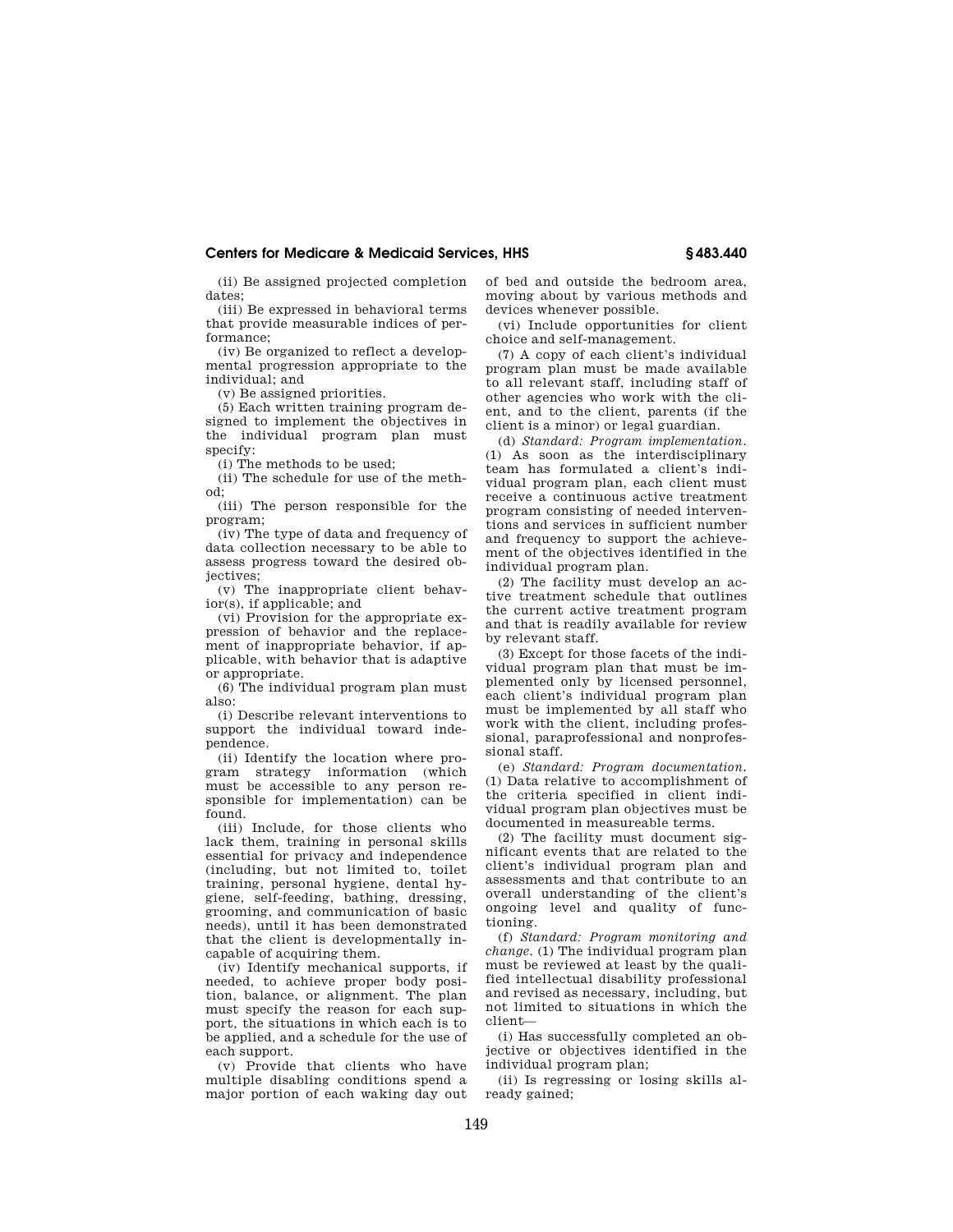# **Centers for Medicare & Medicaid Services, HHS § 483.440**

(ii) Be assigned projected completion dates;

(iii) Be expressed in behavioral terms that provide measurable indices of performance;

(iv) Be organized to reflect a developmental progression appropriate to the individual; and

(v) Be assigned priorities.

(5) Each written training program designed to implement the objectives in the individual program plan must specify:

(i) The methods to be used;

(ii) The schedule for use of the method;

(iii) The person responsible for the program;

(iv) The type of data and frequency of data collection necessary to be able to assess progress toward the desired objectives;

(v) The inappropriate client behavior(s), if applicable; and

(vi) Provision for the appropriate expression of behavior and the replacement of inappropriate behavior, if applicable, with behavior that is adaptive or appropriate.

(6) The individual program plan must also:

(i) Describe relevant interventions to support the individual toward independence.

(ii) Identify the location where program strategy information (which must be accessible to any person responsible for implementation) can be found.

(iii) Include, for those clients who lack them, training in personal skills essential for privacy and independence (including, but not limited to, toilet training, personal hygiene, dental hygiene, self-feeding, bathing, dressing, grooming, and communication of basic needs), until it has been demonstrated that the client is developmentally incapable of acquiring them.

(iv) Identify mechanical supports, if needed, to achieve proper body position, balance, or alignment. The plan must specify the reason for each support, the situations in which each is to be applied, and a schedule for the use of each support.

(v) Provide that clients who have multiple disabling conditions spend a major portion of each waking day out of bed and outside the bedroom area, moving about by various methods and devices whenever possible.

(vi) Include opportunities for client choice and self-management.

(7) A copy of each client's individual program plan must be made available to all relevant staff, including staff of other agencies who work with the client, and to the client, parents (if the client is a minor) or legal guardian.

(d) *Standard: Program implementation.*  (1) As soon as the interdisciplinary team has formulated a client's individual program plan, each client must receive a continuous active treatment program consisting of needed interventions and services in sufficient number and frequency to support the achievement of the objectives identified in the individual program plan.

(2) The facility must develop an active treatment schedule that outlines the current active treatment program and that is readily available for review by relevant staff.

(3) Except for those facets of the individual program plan that must be implemented only by licensed personnel, each client's individual program plan must be implemented by all staff who work with the client, including professional, paraprofessional and nonprofessional staff.

(e) *Standard: Program documentation.*  (1) Data relative to accomplishment of the criteria specified in client individual program plan objectives must be documented in measureable terms.

(2) The facility must document significant events that are related to the client's individual program plan and assessments and that contribute to an overall understanding of the client's ongoing level and quality of functioning.

(f) *Standard: Program monitoring and change.* (1) The individual program plan must be reviewed at least by the qualified intellectual disability professional and revised as necessary, including, but not limited to situations in which the client—

(i) Has successfully completed an objective or objectives identified in the individual program plan;

(ii) Is regressing or losing skills already gained;